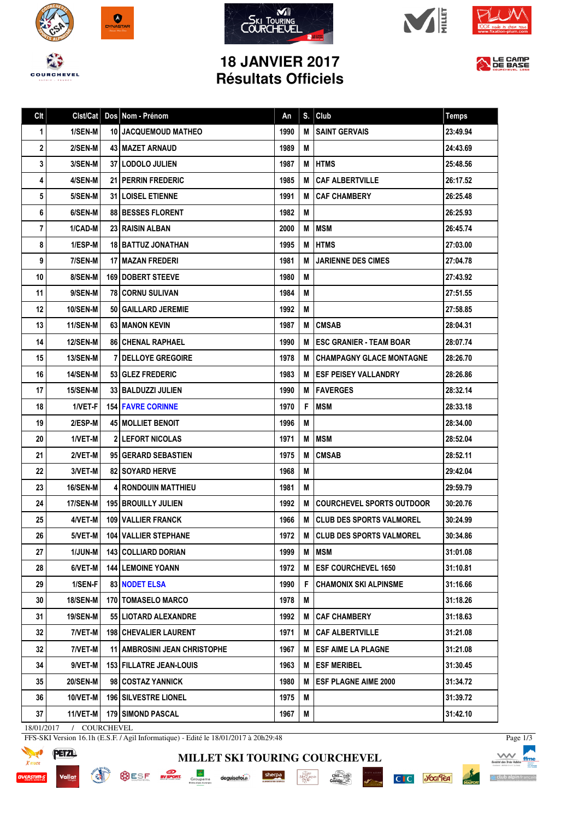









LE CAMP

## **18 JANVIER 2017 Résultats Officiels**

| Clt | Clst/Cat        | Dos Nom - Prénom                    | An   | S. | <b>Club</b>                     | <b>Temps</b> |
|-----|-----------------|-------------------------------------|------|----|---------------------------------|--------------|
| 1   | 1/SEN-M         | <b>10 JACQUEMOUD MATHEO</b>         | 1990 | M  | <b>SAINT GERVAIS</b>            | 23:49.94     |
| 2   | 2/SEN-M         | 43   MAZET ARNAUD                   | 1989 | M  |                                 | 24:43.69     |
| 3   | <b>3/SEN-M</b>  | 37 LODOLO JULIEN                    | 1987 | M  | <b>IHTMS</b>                    | 25:48.56     |
| 4   | 4/SEN-M         | <b>21 PERRIN FREDERIC</b>           | 1985 | M  | <b>CAF ALBERTVILLE</b>          | 26:17.52     |
| 5   | 5/SEN-M         | <b>31   LOISEL ETIENNE</b>          | 1991 | M  | <b>CAF CHAMBERY</b>             | 26:25.48     |
| 6   | 6/SEN-M         | <b>88 BESSES FLORENT</b>            | 1982 | M  |                                 | 26:25.93     |
| 7   | 1/CAD-M         | 23 RAISIN ALBAN                     | 2000 | M  | <b>MSM</b>                      | 26:45.74     |
| 8   | 1/ESP-M         | 18 BATTUZ JONATHAN                  | 1995 | M  | <b>HTMS</b>                     | 27:03.00     |
| 9   | 7/SEN-M         | 17   MAZAN FREDERI                  | 1981 | м  | <b>JARIENNE DES CIMES</b>       | 27:04.78     |
| 10  | 8/SEN-M         | <b>169   DOBERT STEEVE</b>          | 1980 | M  |                                 | 27:43.92     |
| 11  | 9/SEN-M         | <b>781 CORNU SULIVAN</b>            | 1984 | M  |                                 | 27:51.55     |
| 12  | <b>10/SEN-M</b> | 50   GAILLARD JEREMIE               | 1992 | M  |                                 | 27:58.85     |
| 13  | <b>11/SEN-M</b> | 63 MANON KEVIN                      | 1987 | M  | <b>CMSAB</b>                    | 28:04.31     |
| 14  | <b>12/SEN-M</b> | <b>86   CHENAL RAPHAEL</b>          | 1990 | M  | <b>ESC GRANIER - TEAM BOAR</b>  | 28:07.74     |
| 15  | 13/SEN-M        | <b>7 DELLOYE GREGOIRE</b>           | 1978 | M  | <b>CHAMPAGNY GLACE MONTAGNE</b> | 28:26.70     |
| 16  | 14/SEN-M        | 53 GLEZ FREDERIC                    | 1983 | м  | <b>IESF PEISEY VALLANDRY</b>    | 28:26.86     |
| 17  | 15/SEN-M        | 33   BALDUZZI JULIEN                | 1990 | м  | <b>IFAVERGES</b>                | 28:32.14     |
| 18  | 1/VET-F         | <b>154 FAVRE CORINNE</b>            | 1970 | F  | <b>MSM</b>                      | 28:33.18     |
| 19  | 2/ESP-M         | <b>45 MOLLIET BENOIT</b>            | 1996 | M  |                                 | 28:34.00     |
| 20  | 1/VET-M         | <b>2 LEFORT NICOLAS</b>             | 1971 | M  | <b>MSM</b>                      | 28:52.04     |
| 21  | 2/VET-M         | 95 GERARD SEBASTIEN                 | 1975 | M  | <b>CMSAB</b>                    | 28:52.11     |
| 22  | 3/VET-M         | <b>82   SOYARD HERVE</b>            | 1968 | M  |                                 | 29:42.04     |
| 23  | 16/SEN-M        | <b>4 RONDOUIN MATTHIEU</b>          | 1981 | M  |                                 | 29:59.79     |
| 24  | 17/SEN-M        | <b>195 BROUILLY JULIEN</b>          | 1992 | M  | COURCHEVEL SPORTS OUTDOOR       | 30:20.76     |
| 25  | 4/VET-M         | <b>109   VALLIER FRANCK</b>         | 1966 | М  | CLUB DES SPORTS VALMOREL        | 30:24.99     |
| 26  | 5/VET-M         | <b>104 VALLIER STEPHANE</b>         | 1972 | M  | CLUB DES SPORTS VALMOREL        | 30:34.86     |
| 27  | 1/JUN-M         | 143 COLLIARD DORIAN                 | 1999 | M  | <b>MSM</b>                      | 31:01.08     |
| 28  | 6/VET-M         | <b>144 LEMOINE YOANN</b>            | 1972 | M  | <b>ESF COURCHEVEL 1650</b>      | 31:10.81     |
| 29  | 1/SEN-F         | <b>83 NODET ELSA</b>                | 1990 | F  | <b>CHAMONIX SKI ALPINSME</b>    | 31:16.66     |
| 30  | 18/SEN-M        | <b>170   TOMASELO MARCO</b>         | 1978 | M  |                                 | 31:18.26     |
| 31  | 19/SEN-M        | 55 LIOTARD ALEXANDRE                | 1992 | M  | <b>CAF CHAMBERY</b>             | 31:18.63     |
| 32  | 7/VET-M         | <b>198   CHEVALIER LAURENT</b>      | 1971 | М  | <b>CAF ALBERTVILLE</b>          | 31:21.08     |
| 32  | 7/VET-M         | <b>11 AMBROSINI JEAN CHRISTOPHE</b> | 1967 | М  | <b>ESF AIME LA PLAGNE</b>       | 31:21.08     |
| 34  | 9/VET-M         | 153 FILLATRE JEAN-LOUIS             | 1963 | M  | <b>ESF MERIBEL</b>              | 31:30.45     |
| 35  | <b>20/SEN-M</b> | 98 COSTAZ YANNICK                   | 1980 | M  | <b>ESF PLAGNE AIME 2000</b>     | 31:34.72     |
| 36  | 10/VET-M        | <b>196 SILVESTRE LIONEL</b>         | 1975 | M  |                                 | 31:39.72     |
| 37  | 11/VET-M        | 179 SIMOND PASCAL                   | 1967 | M  |                                 | 31:42.10     |

**MILLET SKI TOURING COURCHEVEL**

 $\cdot \underbrace{\mathop{\rm Hom}\limits_{\mathop{\rm DDP}\nolimits(\mathop{\rm GRND}\nolimits)}^{\mathop{\rm Hom}\nolimits}}_{\mathop{\rm DDP}\nolimits(\mathop{\rm Sp}\nolimits)}$ 

 $\frac{\text{chez}}{\text{Cauchy}}$ 

sherpa

deguisetoi.r/

18/01/2017 / COURCHEVEL

**READ** 

FFS-SKI Version 16.1h (E.S.F. / Agil Informatique) - Edité le 18/01/2017 à 20h29:48

**OCSE ENSPORT** 



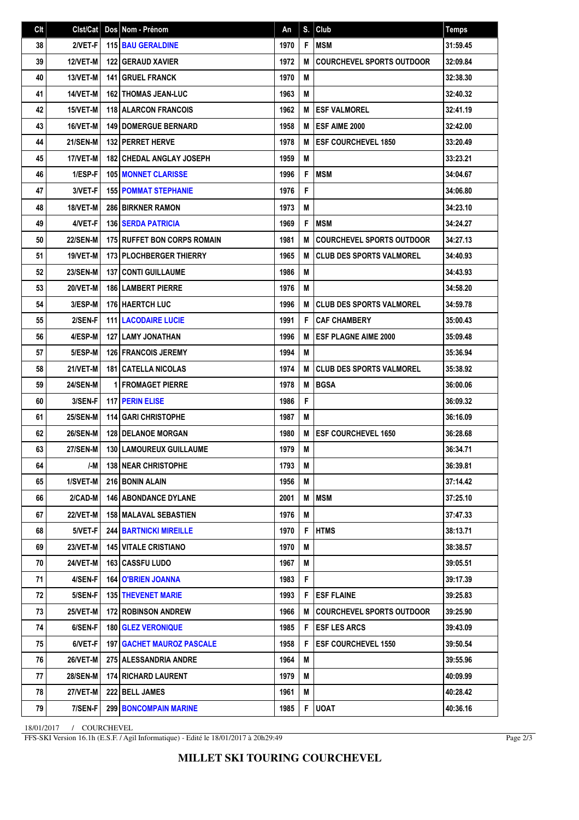| C <sub>It</sub> | Clst/Cat        | Dos Nom - Prénom                   | An   | S. | Club                             | <b>Temps</b> |
|-----------------|-----------------|------------------------------------|------|----|----------------------------------|--------------|
| 38              | 2/VET-F         | <b>115 BAU GERALDINE</b>           | 1970 | F  | <b>MSM</b>                       | 31:59.45     |
| 39              | <b>12/VET-M</b> | <b>122 GERAUD XAVIER</b>           | 1972 | M  | <b>COURCHEVEL SPORTS OUTDOOR</b> | 32:09.84     |
| 40              | 13/VET-M        | <b>141 GRUEL FRANCK</b>            | 1970 | M  |                                  | 32:38.30     |
| 41              | 14/VET-M        | <b>162 THOMAS JEAN-LUC</b>         | 1963 | M  |                                  | 32:40.32     |
| 42              | 15/VET-M        | <b>118 ALARCON FRANCOIS</b>        | 1962 | M  | <b>ESF VALMOREL</b>              | 32:41.19     |
| 43              | 16/VET-M        | <b>149   DOMERGUE BERNARD</b>      | 1958 | M  | <b>ESF AIME 2000</b>             | 32:42.00     |
| 44              | <b>21/SEN-M</b> | <b>132 PERRET HERVE</b>            | 1978 | M  | <b>ESF COURCHEVEL 1850</b>       | 33:20.49     |
| 45              | 17/VET-M        | <b>182 CHEDAL ANGLAY JOSEPH</b>    | 1959 | M  |                                  | 33:23.21     |
| 46              | 1/ESP-F         | <b>105 MONNET CLARISSE</b>         | 1996 | F  | <b>MSM</b>                       | 34:04.67     |
| 47              | 3/VET-F         | <b>155 POMMAT STEPHANIE</b>        | 1976 | F  |                                  | 34:06.80     |
| 48              | 18/VET-M        | <b>286 BIRKNER RAMON</b>           | 1973 | M  |                                  | 34:23.10     |
| 49              | 4/VET-F         | <b>136 SERDA PATRICIA</b>          | 1969 | F  | <b>MSM</b>                       | 34:24.27     |
| 50              | <b>22/SEN-M</b> | <b>175 RUFFET BON CORPS ROMAIN</b> | 1981 | М  | <b>COURCHEVEL SPORTS OUTDOOR</b> | 34:27.13     |
| 51              | 19/VET-M        | <b>173 PLOCHBERGER THIERRY</b>     | 1965 | M  | <b>CLUB DES SPORTS VALMOREL</b>  | 34:40.93     |
| 52              | <b>23/SEN-M</b> | <b>137 CONTI GUILLAUME</b>         | 1986 | M  |                                  | 34:43.93     |
| 53              | 20/VET-M        | <b>186   LAMBERT PIERRE</b>        | 1976 | M  |                                  | 34:58.20     |
| 54              | 3/ESP-M         | <b>176 HAERTCH LUC</b>             | 1996 | M  | <b>CLUB DES SPORTS VALMOREL</b>  | 34:59.78     |
| 55              | 2/SEN-F         | <b>111 LACODAIRE LUCIE</b>         | 1991 | F  | <b>CAF CHAMBERY</b>              | 35:00.43     |
| 56              | 4/ESP-M         | <b>127 I LAMY JONATHAN</b>         | 1996 | M  | <b>ESF PLAGNE AIME 2000</b>      | 35:09.48     |
| 57              | 5/ESP-M         | <b>126 FRANCOIS JEREMY</b>         | 1994 | M  |                                  | 35:36.94     |
| 58              | 21/VET-M        | <b>181   CATELLA NICOLAS</b>       | 1974 | M  | <b>CLUB DES SPORTS VALMOREL</b>  | 35:38.92     |
| 59              | <b>24/SEN-M</b> | <b>1 FROMAGET PIERRE</b>           | 1978 | M  | <b>BGSA</b>                      | 36:00.06     |
| 60              | 3/SEN-F         | <b>117 PERIN ELISE</b>             | 1986 | F  |                                  | 36:09.32     |
| 61              | <b>25/SEN-M</b> | <b>114 GARI CHRISTOPHE</b>         | 1987 | M  |                                  | 36:16.09     |
| 62              | 26/SEN-M        | 128 DELANOE MORGAN                 | 1980 | M  | <b>ESF COURCHEVEL 1650</b>       | 36:28.68     |
| 63              | <b>27/SEN-M</b> | 130 LAMOUREUX GUILLAUME            | 1979 | M  |                                  | 36:34.71     |
| 64              | /-M I           | <b>138 NEAR CHRISTOPHE</b>         | 1793 | M  |                                  | 36:39.81     |
| 65              | 1/SVET-M        | 216 BONIN ALAIN                    | 1956 | М  |                                  | 37:14.42     |
| 66              | 2/CAD-M         | <b>146   ABONDANCE DYLANE</b>      | 2001 | M  | <b>IMSM</b>                      | 37:25.10     |
| 67              | 22/VET-M        | <b>158 MALAVAL SEBASTIEN</b>       | 1976 | M  |                                  | 37:47.33     |
| 68              | 5/VET-F         | <b>244 BARTNICKI MIREILLE</b>      | 1970 | F  | <b>HTMS</b>                      | 38:13.71     |
| 69              | 23/VET-M        | <b>145 VITALE CRISTIANO</b>        | 1970 | M  |                                  | 38:38.57     |
| 70              | <b>24/VET-M</b> | <b>163   CASSFU LUDO</b>           | 1967 | M  |                                  | 39:05.51     |
| 71              | 4/SEN-F         | <b>164   O'BRIEN JOANNA</b>        | 1983 | F  |                                  | 39:17.39     |
| 72              | 5/SEN-F         | <b>135 THEVENET MARIE</b>          | 1993 | F  | <b>ESF FLAINE</b>                | 39:25.83     |
| 73              | 25/VET-M        | <b>172 ROBINSON ANDREW</b>         | 1966 | M  | <b>COURCHEVEL SPORTS OUTDOOR</b> | 39:25.90     |
| 74              | 6/SEN-F         | <b>180 GLEZ VERONIQUE</b>          | 1985 | F  | <b>ESF LES ARCS</b>              | 39:43.09     |
| 75              | 6/VET-F         | <b>197   GACHET MAUROZ PASCALE</b> | 1958 | F  | <b>ESF COURCHEVEL 1550</b>       | 39:50.54     |
| 76              | 26/VET-M        | <b>275   ALESSANDRIA ANDRE</b>     | 1964 | M  |                                  | 39:55.96     |
| 77              | <b>28/SEN-M</b> | <b>174 RICHARD LAURENT</b>         | 1979 | M  |                                  | 40:09.99     |
| 78              | <b>27/VET-M</b> | 222 BELL JAMES                     | 1961 | M  |                                  | 40:28.42     |
| 79              | 7/SEN-F         | <b>299 BONCOMPAIN MARINE</b>       | 1985 | F  | <b>UOAT</b>                      | 40:36.16     |

18/01/2017 / COURCHEVEL

FFS-SKI Version 16.1h (E.S.F. / Agil Informatique) - Edité le 18/01/2017 à 20h29:49

Page 2/3